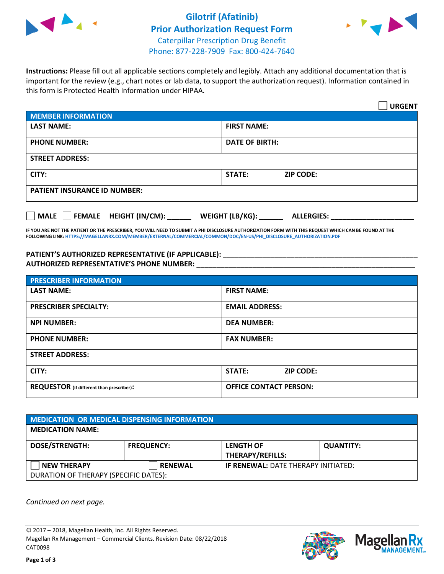

## **Gilotrif (Afatinib) Prior Authorization Request Form** Caterpillar Prescription Drug Benefit Phone: 877-228-7909 Fax: 800-424-7640



**Instructions:** Please fill out all applicable sections completely and legibly. Attach any additional documentation that is important for the review (e.g., chart notes or lab data, to support the authorization request). Information contained in this form is Protected Health Information under HIPAA.

|                                       | <b>URGENT</b>                        |  |  |  |
|---------------------------------------|--------------------------------------|--|--|--|
| <b>MEMBER INFORMATION</b>             |                                      |  |  |  |
| <b>LAST NAME:</b>                     | <b>FIRST NAME:</b>                   |  |  |  |
| <b>PHONE NUMBER:</b>                  | <b>DATE OF BIRTH:</b>                |  |  |  |
| <b>STREET ADDRESS:</b>                |                                      |  |  |  |
| CITY:                                 | <b>ZIP CODE:</b><br><b>STATE:</b>    |  |  |  |
| <b>PATIENT INSURANCE ID NUMBER:</b>   |                                      |  |  |  |
| FEMALE HEIGHT (IN/CM):<br><b>MALE</b> | WEIGHT (LB/KG):<br><b>ALLERGIES:</b> |  |  |  |

**IF YOU ARE NOT THE PATIENT OR THE PRESCRIBER, YOU WILL NEED TO SUBMIT A PHI DISCLOSURE AUTHORIZATION FORM WITH THIS REQUEST WHICH CAN BE FOUND AT THE FOLLOWING LINK[: HTTPS://MAGELLANRX.COM/MEMBER/EXTERNAL/COMMERCIAL/COMMON/DOC/EN-US/PHI\\_DISCLOSURE\\_AUTHORIZATION.PDF](https://magellanrx.com/member/external/commercial/common/doc/en-us/PHI_Disclosure_Authorization.pdf)**

**PATIENT'S AUTHORIZED REPRESENTATIVE (IF APPLICABLE): \_\_\_\_\_\_\_\_\_\_\_\_\_\_\_\_\_\_\_\_\_\_\_\_\_\_\_\_\_\_\_\_\_\_\_\_\_\_\_\_\_\_\_\_\_\_\_\_\_ AUTHORIZED REPRESENTATIVE'S PHONE NUMBER:** \_\_\_\_\_\_\_\_\_\_\_\_\_\_\_\_\_\_\_\_\_\_\_\_\_\_\_\_\_\_\_\_\_\_\_\_\_\_\_\_\_\_\_\_\_\_\_\_\_\_\_\_\_\_\_

| <b>PRESCRIBER INFORMATION</b>             |                                   |  |  |  |
|-------------------------------------------|-----------------------------------|--|--|--|
| <b>LAST NAME:</b>                         | <b>FIRST NAME:</b>                |  |  |  |
| <b>PRESCRIBER SPECIALTY:</b>              | <b>EMAIL ADDRESS:</b>             |  |  |  |
| <b>NPI NUMBER:</b>                        | <b>DEA NUMBER:</b>                |  |  |  |
| <b>PHONE NUMBER:</b>                      | <b>FAX NUMBER:</b>                |  |  |  |
| <b>STREET ADDRESS:</b>                    |                                   |  |  |  |
| CITY:                                     | <b>STATE:</b><br><b>ZIP CODE:</b> |  |  |  |
| REQUESTOR (if different than prescriber): | <b>OFFICE CONTACT PERSON:</b>     |  |  |  |

| <b>MEDICATION OR MEDICAL DISPENSING INFORMATION</b> |                   |                                             |                  |  |  |
|-----------------------------------------------------|-------------------|---------------------------------------------|------------------|--|--|
| <b>MEDICATION NAME:</b>                             |                   |                                             |                  |  |  |
| <b>DOSE/STRENGTH:</b>                               | <b>FREQUENCY:</b> | <b>LENGTH OF</b><br><b>THERAPY/REFILLS:</b> | <b>QUANTITY:</b> |  |  |
| <b>NEW THERAPY</b>                                  | <b>RENEWAL</b>    | <b>IF RENEWAL: DATE THERAPY INITIATED:</b>  |                  |  |  |
| DURATION OF THERAPY (SPECIFIC DATES):               |                   |                                             |                  |  |  |

*Continued on next page.*

© 2017 – 2018, Magellan Health, Inc. All Rights Reserved. Magellan Rx Management – Commercial Clients. Revision Date: 08/22/2018 CAT0098



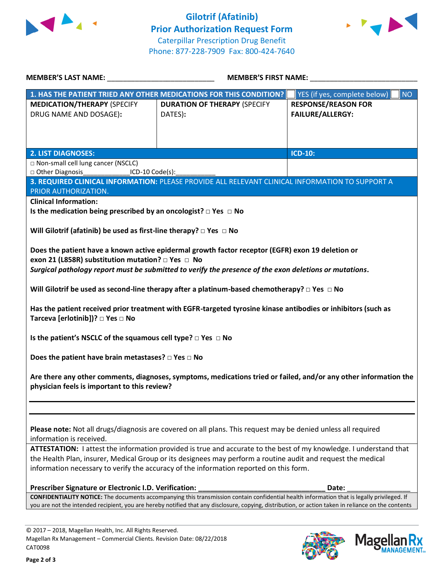



| <b>MEMBER'S LAST NAME:</b> NAME                                                                                                                                                                                                    | <b>MEMBER'S FIRST NAME:</b>                                                                                                                         |                                           |  |  |  |
|------------------------------------------------------------------------------------------------------------------------------------------------------------------------------------------------------------------------------------|-----------------------------------------------------------------------------------------------------------------------------------------------------|-------------------------------------------|--|--|--|
|                                                                                                                                                                                                                                    | 1. HAS THE PATIENT TRIED ANY OTHER MEDICATIONS FOR THIS CONDITION?                                                                                  | <b>NO</b><br>YES (if yes, complete below) |  |  |  |
| <b>MEDICATION/THERAPY (SPECIFY</b>                                                                                                                                                                                                 | <b>DURATION OF THERAPY (SPECIFY</b>                                                                                                                 | <b>RESPONSE/REASON FOR</b>                |  |  |  |
| DRUG NAME AND DOSAGE):                                                                                                                                                                                                             | DATES):                                                                                                                                             | <b>FAILURE/ALLERGY:</b>                   |  |  |  |
|                                                                                                                                                                                                                                    |                                                                                                                                                     |                                           |  |  |  |
|                                                                                                                                                                                                                                    |                                                                                                                                                     |                                           |  |  |  |
| <b>2. LIST DIAGNOSES:</b>                                                                                                                                                                                                          |                                                                                                                                                     | ICD-10:                                   |  |  |  |
| □ Non-small cell lung cancer (NSCLC)                                                                                                                                                                                               |                                                                                                                                                     |                                           |  |  |  |
| Other Diagnosis<br>ICD-10 Code(s):                                                                                                                                                                                                 |                                                                                                                                                     |                                           |  |  |  |
|                                                                                                                                                                                                                                    | 3. REQUIRED CLINICAL INFORMATION: PLEASE PROVIDE ALL RELEVANT CLINICAL INFORMATION TO SUPPORT A                                                     |                                           |  |  |  |
| PRIOR AUTHORIZATION.<br><b>Clinical Information:</b>                                                                                                                                                                               |                                                                                                                                                     |                                           |  |  |  |
| Is the medication being prescribed by an oncologist? $\Box$ Yes $\Box$ No                                                                                                                                                          |                                                                                                                                                     |                                           |  |  |  |
|                                                                                                                                                                                                                                    |                                                                                                                                                     |                                           |  |  |  |
| Will Gilotrif (afatinib) be used as first-line therapy? $\Box$ Yes $\Box$ No                                                                                                                                                       |                                                                                                                                                     |                                           |  |  |  |
|                                                                                                                                                                                                                                    |                                                                                                                                                     |                                           |  |  |  |
|                                                                                                                                                                                                                                    | Does the patient have a known active epidermal growth factor receptor (EGFR) exon 19 deletion or                                                    |                                           |  |  |  |
| exon 21 (L858R) substitution mutation? □ Yes □ No                                                                                                                                                                                  |                                                                                                                                                     |                                           |  |  |  |
|                                                                                                                                                                                                                                    | Surgical pathology report must be submitted to verify the presence of the exon deletions or mutations.                                              |                                           |  |  |  |
|                                                                                                                                                                                                                                    |                                                                                                                                                     |                                           |  |  |  |
|                                                                                                                                                                                                                                    | Will Gilotrif be used as second-line therapy after a platinum-based chemotherapy? $\Box$ Yes $\Box$ No                                              |                                           |  |  |  |
|                                                                                                                                                                                                                                    | Has the patient received prior treatment with EGFR-targeted tyrosine kinase antibodies or inhibitors (such as                                       |                                           |  |  |  |
| Tarceva [erlotinib])? □ Yes □ No                                                                                                                                                                                                   |                                                                                                                                                     |                                           |  |  |  |
|                                                                                                                                                                                                                                    |                                                                                                                                                     |                                           |  |  |  |
| Is the patient's NSCLC of the squamous cell type? $\square$ Yes $\square$ No                                                                                                                                                       |                                                                                                                                                     |                                           |  |  |  |
| Does the patient have brain metastases? $\square$ Yes $\square$ No                                                                                                                                                                 |                                                                                                                                                     |                                           |  |  |  |
|                                                                                                                                                                                                                                    |                                                                                                                                                     |                                           |  |  |  |
| Are there any other comments, diagnoses, symptoms, medications tried or failed, and/or any other information the                                                                                                                   |                                                                                                                                                     |                                           |  |  |  |
| physician feels is important to this review?                                                                                                                                                                                       |                                                                                                                                                     |                                           |  |  |  |
|                                                                                                                                                                                                                                    |                                                                                                                                                     |                                           |  |  |  |
|                                                                                                                                                                                                                                    |                                                                                                                                                     |                                           |  |  |  |
|                                                                                                                                                                                                                                    |                                                                                                                                                     |                                           |  |  |  |
| Please note: Not all drugs/diagnosis are covered on all plans. This request may be denied unless all required                                                                                                                      |                                                                                                                                                     |                                           |  |  |  |
| information is received.                                                                                                                                                                                                           |                                                                                                                                                     |                                           |  |  |  |
| ATTESTATION: I attest the information provided is true and accurate to the best of my knowledge. I understand that<br>the Health Plan, insurer, Medical Group or its designees may perform a routine audit and request the medical |                                                                                                                                                     |                                           |  |  |  |
| information necessary to verify the accuracy of the information reported on this form.                                                                                                                                             |                                                                                                                                                     |                                           |  |  |  |
|                                                                                                                                                                                                                                    |                                                                                                                                                     |                                           |  |  |  |
| Prescriber Signature or Electronic I.D. Verification:                                                                                                                                                                              |                                                                                                                                                     | Date:                                     |  |  |  |
| CONFIDENTIALITY NOTICE: The documents accompanying this transmission contain confidential health information that is legally privileged. If                                                                                        |                                                                                                                                                     |                                           |  |  |  |
|                                                                                                                                                                                                                                    | you are not the intended recipient, you are hereby notified that any disclosure, copying, distribution, or action taken in reliance on the contents |                                           |  |  |  |

© 2017 – 2018, Magellan Health, Inc. All Rights Reserved. Magellan Rx Management – Commercial Clients. Revision Date: 08/22/2018 CAT0098



**Magella** 

**MANAGEMENT**<sub>SM</sub>